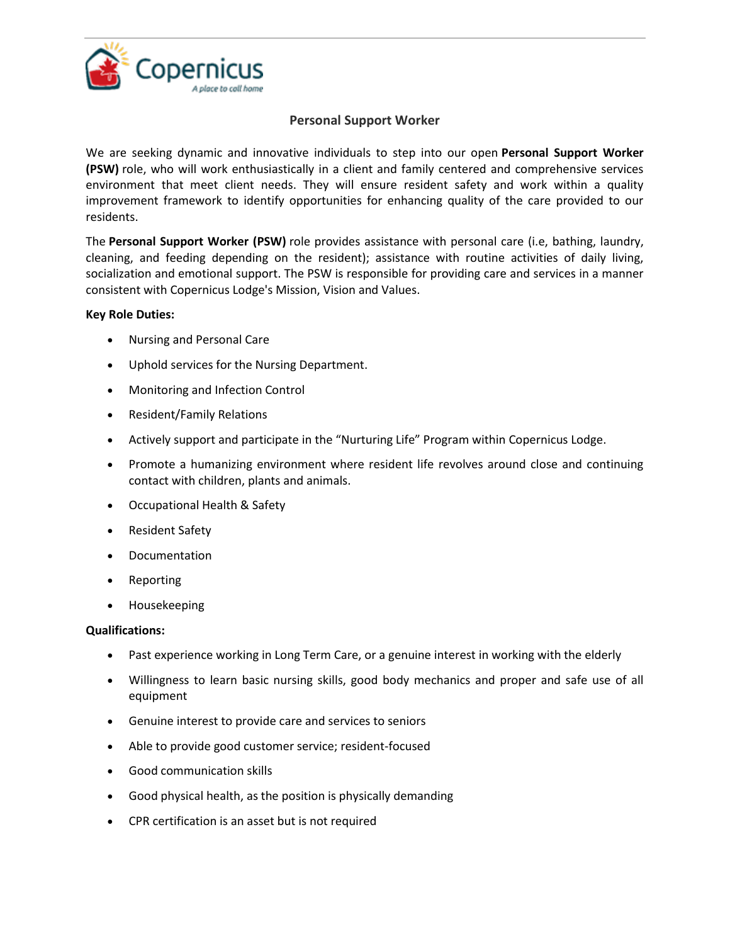

## **Personal Support Worker**

We are seeking dynamic and innovative individuals to step into our open **Personal Support Worker (PSW)** role, who will work enthusiastically in a client and family centered and comprehensive services environment that meet client needs. They will ensure resident safety and work within a quality improvement framework to identify opportunities for enhancing quality of the care provided to our residents.

The **Personal Support Worker (PSW)** role provides assistance with personal care (i.e, bathing, laundry, cleaning, and feeding depending on the resident); assistance with routine activities of daily living, socialization and emotional support. The PSW is responsible for providing care and services in a manner consistent with Copernicus Lodge's Mission, Vision and Values.

## **Key Role Duties:**

- Nursing and Personal Care
- Uphold services for the Nursing Department.
- Monitoring and Infection Control
- Resident/Family Relations
- Actively support and participate in the "Nurturing Life" Program within Copernicus Lodge.
- Promote a humanizing environment where resident life revolves around close and continuing contact with children, plants and animals.
- Occupational Health & Safety
- Resident Safety
- Documentation
- Reporting
- Housekeeping

## **Qualifications:**

- Past experience working in Long Term Care, or a genuine interest in working with the elderly
- Willingness to learn basic nursing skills, good body mechanics and proper and safe use of all equipment
- Genuine interest to provide care and services to seniors
- Able to provide good customer service; resident-focused
- Good communication skills
- Good physical health, as the position is physically demanding
- CPR certification is an asset but is not required